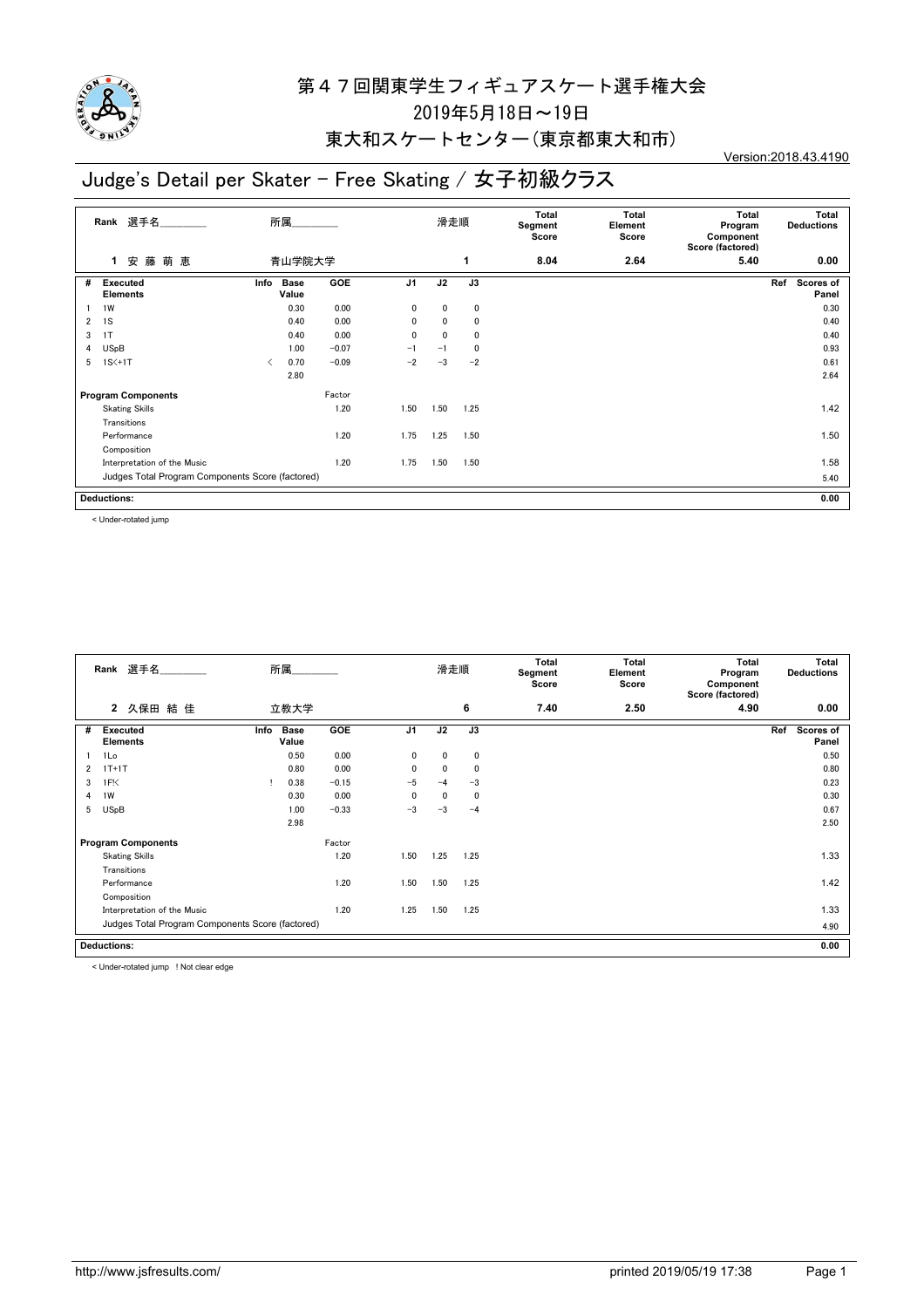

#### 東大和スケートセンター(東京都東大和市)

## Judge's Detail per Skater - Free Skating / 女子初級クラス

Version:2018.43.4190

|   | Rank 選手名                                         |      | 所属                   |            |                | 滑走順          |             | Total<br>Segment<br>Score | Total<br>Element<br>Score | <b>Total</b><br>Program<br>Component<br>Score (factored) | Total<br><b>Deductions</b> |
|---|--------------------------------------------------|------|----------------------|------------|----------------|--------------|-------------|---------------------------|---------------------------|----------------------------------------------------------|----------------------------|
|   | 藤<br>萌<br>安<br>恵<br>1.                           |      | 青山学院大学               |            |                |              | 1           | 8.04                      | 2.64                      | 5.40                                                     | 0.00                       |
| # | <b>Executed</b><br><b>Elements</b>               | Info | <b>Base</b><br>Value | <b>GOE</b> | J <sub>1</sub> | J2           | J3          |                           |                           |                                                          | Ref<br>Scores of<br>Panel  |
|   | 1W                                               |      | 0.30                 | 0.00       | $\mathbf 0$    | $\mathbf{0}$ | $\mathbf 0$ |                           |                           |                                                          | 0.30                       |
| 2 | 1S                                               |      | 0.40                 | 0.00       | 0              | 0            | 0           |                           |                           |                                                          | 0.40                       |
| 3 | 1T                                               |      | 0.40                 | 0.00       | 0              | $\mathbf{0}$ | $\mathbf 0$ |                           |                           |                                                          | 0.40                       |
| 4 | <b>USpB</b>                                      |      | 1.00                 | $-0.07$    | $-1$           | $-1$         | $\mathbf 0$ |                           |                           |                                                          | 0.93                       |
| 5 | $1S<+1T$                                         |      | 0.70                 | $-0.09$    | $-2$           | $-3$         | $-2$        |                           |                           |                                                          | 0.61                       |
|   |                                                  |      | 2.80                 |            |                |              |             |                           |                           |                                                          | 2.64                       |
|   | <b>Program Components</b>                        |      |                      | Factor     |                |              |             |                           |                           |                                                          |                            |
|   | <b>Skating Skills</b>                            |      |                      | 1.20       | 1.50           | 1.50         | 1.25        |                           |                           |                                                          | 1.42                       |
|   | Transitions                                      |      |                      |            |                |              |             |                           |                           |                                                          |                            |
|   | Performance                                      |      |                      | 1.20       | 1.75           | 1.25         | 1.50        |                           |                           |                                                          | 1.50                       |
|   | Composition                                      |      |                      |            |                |              |             |                           |                           |                                                          |                            |
|   | Interpretation of the Music                      |      |                      | 1.20       | 1.75           | 1.50         | 1.50        |                           |                           |                                                          | 1.58                       |
|   | Judges Total Program Components Score (factored) |      |                      |            |                |              |             |                           |                           |                                                          | 5.40                       |
|   | <b>Deductions:</b>                               |      |                      |            |                |              |             |                           |                           |                                                          | 0.00                       |

< Under-rotated jump

| Total<br><b>Total</b><br>選手名<br>所属<br>滑走順<br>Rank<br>Segment<br>Element<br>Score<br>Score                    | Total<br>Total<br><b>Deductions</b><br>Program<br>Component<br>Score (factored) |
|--------------------------------------------------------------------------------------------------------------|---------------------------------------------------------------------------------|
| 6<br>7.40<br>2.50<br>久保田 結 佳<br>$\mathbf{2}$<br>立教大学                                                         | 4.90<br>0.00                                                                    |
| GOE<br>J <sub>1</sub><br>J2<br>J3<br>#<br><b>Base</b><br><b>Executed</b><br>Info<br>Value<br><b>Elements</b> | Ref<br>Scores of<br>Panel                                                       |
| 1Lo<br>0.50<br>0.00<br>0<br>0<br>0                                                                           | 0.50                                                                            |
| $1T+1T$<br>0.00<br>$\mathbf 0$<br>0.80<br>$\mathbf{0}$<br>$\mathbf 0$<br>$\overline{2}$                      | 0.80                                                                            |
| $-5$<br>1F <sub>1</sub><br>0.38<br>$-0.15$<br>$-3$<br>3<br>$-4$                                              | 0.23                                                                            |
| 1W<br>0.00<br>0.30<br>$\mathbf{0}$<br>$\mathbf{0}$<br>0<br>4                                                 | 0.30                                                                            |
| <b>USpB</b><br>$-3$<br>5<br>$-0.33$<br>$-3$<br>1.00<br>$-4$                                                  | 0.67                                                                            |
| 2.98                                                                                                         | 2.50                                                                            |
| Factor<br><b>Program Components</b>                                                                          |                                                                                 |
| 1.25<br>1.20<br>1.50<br>1.25<br><b>Skating Skills</b>                                                        | 1.33                                                                            |
| Transitions                                                                                                  |                                                                                 |
| 1.20<br>1.50<br>1.50<br>1.25<br>Performance                                                                  | 1.42                                                                            |
| Composition                                                                                                  |                                                                                 |
| 1.20<br>1.50<br>Interpretation of the Music<br>1.25<br>1.25                                                  | 1.33                                                                            |
| Judges Total Program Components Score (factored)                                                             | 4.90                                                                            |
| <b>Deductions:</b>                                                                                           | 0.00                                                                            |

< Under-rotated jump ! Not clear edge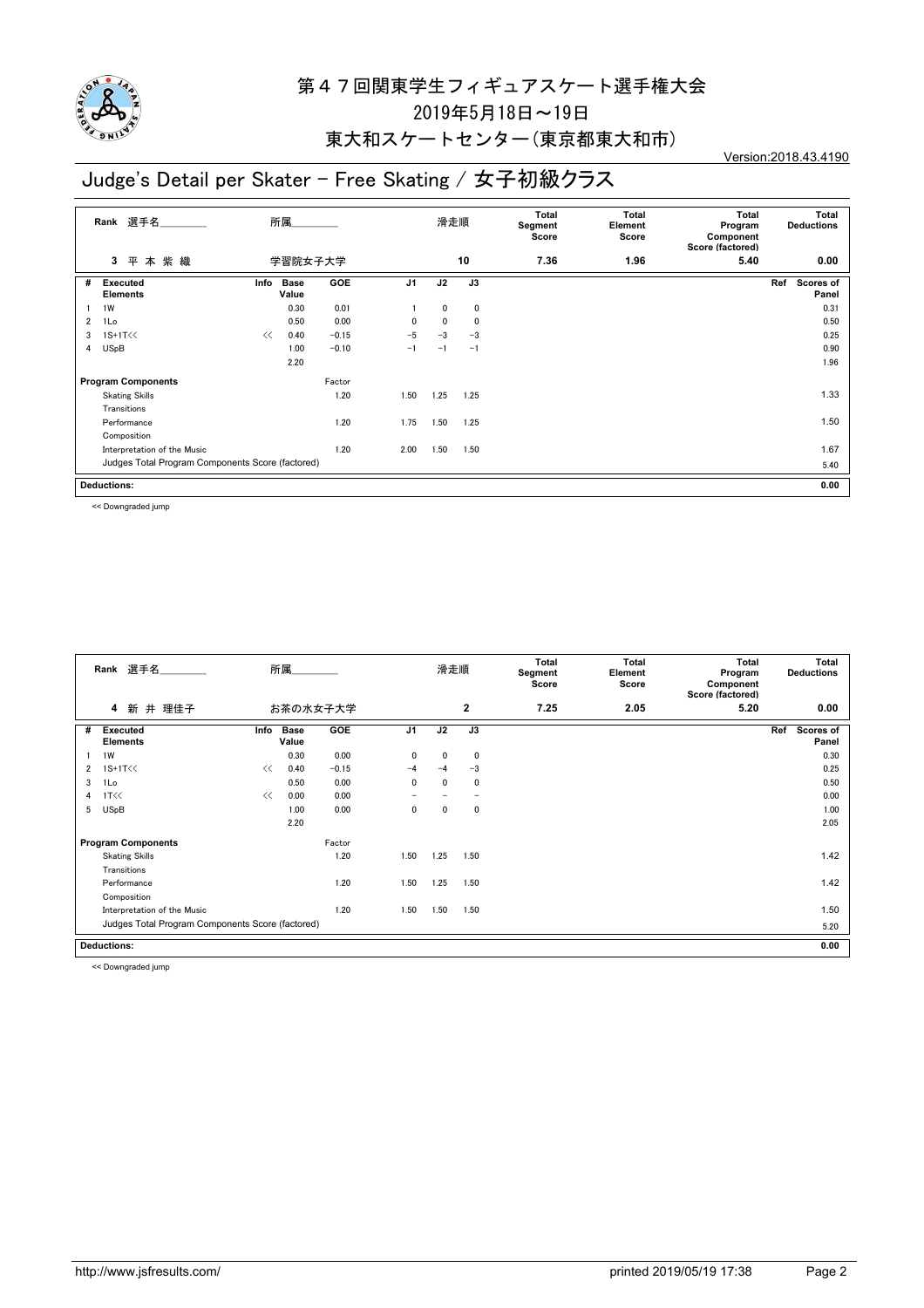

## 東大和スケートセンター(東京都東大和市)

## Judge's Detail per Skater - Free Skating / 女子初級クラス

Version:2018.43.4190

|                | 選手名<br>Rank                                      | 所属                           |         |                | 滑走順  |             | Total<br>Segment<br>Score | <b>Total</b><br>Element<br>Score | Total<br>Program<br>Component<br>Score (factored) | Total<br><b>Deductions</b> |
|----------------|--------------------------------------------------|------------------------------|---------|----------------|------|-------------|---------------------------|----------------------------------|---------------------------------------------------|----------------------------|
|                | 本紫織<br>3<br>平                                    | 学習院女子大学                      |         |                |      | 10          | 7.36                      | 1.96                             | 5.40                                              | 0.00                       |
| #              | <b>Executed</b><br><b>Elements</b>               | <b>Base</b><br>Info<br>Value | GOE     | J <sub>1</sub> | J2   | J3          |                           |                                  |                                                   | Ref<br>Scores of<br>Panel  |
|                | 1W                                               | 0.30                         | 0.01    |                | 0    | 0           |                           |                                  |                                                   | 0.31                       |
| $\overline{2}$ | 1Lo                                              | 0.50                         | 0.00    | $\mathbf{0}$   | 0    | $\mathbf 0$ |                           |                                  |                                                   | 0.50                       |
| 3              | $1S+1T<<$                                        | 0.40<br><<                   | $-0.15$ | $-5$           | $-3$ | $-3$        |                           |                                  |                                                   | 0.25                       |
| 4              | <b>USpB</b>                                      | 1.00                         | $-0.10$ | $-1$           | $-1$ | $-1$        |                           |                                  |                                                   | 0.90                       |
|                |                                                  | 2.20                         |         |                |      |             |                           |                                  |                                                   | 1.96                       |
|                | <b>Program Components</b>                        |                              | Factor  |                |      |             |                           |                                  |                                                   |                            |
|                | <b>Skating Skills</b>                            |                              | 1.20    | 1.50           | 1.25 | 1.25        |                           |                                  |                                                   | 1.33                       |
|                | Transitions                                      |                              |         |                |      |             |                           |                                  |                                                   |                            |
|                | Performance                                      |                              | 1.20    | 1.75           | 1.50 | 1.25        |                           |                                  |                                                   | 1.50                       |
|                | Composition                                      |                              |         |                |      |             |                           |                                  |                                                   |                            |
|                | Interpretation of the Music                      |                              | 1.20    | 2.00           | 1.50 | 1.50        |                           |                                  |                                                   | 1.67                       |
|                | Judges Total Program Components Score (factored) |                              |         |                |      |             |                           |                                  |                                                   | 5.40                       |
|                | <b>Deductions:</b>                               |                              |         |                |      |             |                           |                                  |                                                   | 0.00                       |

<< Downgraded jump

|              | 選手名<br>Rank                                      |      | 所属                   |          |                | 滑走順  |                | Total<br>Segment<br>Score | <b>Total</b><br>Element<br>Score | Total<br>Program<br>Component<br>Score (factored) | Total<br><b>Deductions</b>       |
|--------------|--------------------------------------------------|------|----------------------|----------|----------------|------|----------------|---------------------------|----------------------------------|---------------------------------------------------|----------------------------------|
|              | 新 井 理佳子<br>4                                     |      |                      | お茶の水女子大学 |                |      | $\overline{2}$ | 7.25                      | 2.05                             | 5.20                                              | 0.00                             |
| #            | <b>Executed</b><br><b>Elements</b>               | Info | <b>Base</b><br>Value | GOE      | J <sub>1</sub> | J2   | J3             |                           |                                  |                                                   | Ref<br><b>Scores of</b><br>Panel |
|              | 1W                                               |      | 0.30                 | 0.00     | 0              | 0    | $\mathbf 0$    |                           |                                  |                                                   | 0.30                             |
| $\mathbf{2}$ | 1S+1T<<                                          | <<   | 0.40                 | $-0.15$  | $-4$           | $-4$ | $-3$           |                           |                                  |                                                   | 0.25                             |
| 3            | 1Lo                                              |      | 0.50                 | 0.00     | $\mathbf 0$    | 0    | 0              |                           |                                  |                                                   | 0.50                             |
| 4            | 1T<<                                             | <<   | 0.00                 | 0.00     |                |      |                |                           |                                  |                                                   | 0.00                             |
| 5            | <b>USpB</b>                                      |      | 1.00                 | 0.00     | 0              | 0    | 0              |                           |                                  |                                                   | 1.00                             |
|              |                                                  |      | 2.20                 |          |                |      |                |                           |                                  |                                                   | 2.05                             |
|              | <b>Program Components</b>                        |      |                      | Factor   |                |      |                |                           |                                  |                                                   |                                  |
|              | <b>Skating Skills</b>                            |      |                      | 1.20     | 1.50           | 1.25 | 1.50           |                           |                                  |                                                   | 1.42                             |
|              | Transitions                                      |      |                      |          |                |      |                |                           |                                  |                                                   |                                  |
|              | Performance                                      |      |                      | 1.20     | 1.50           | 1.25 | 1.50           |                           |                                  |                                                   | 1.42                             |
|              | Composition                                      |      |                      |          |                |      |                |                           |                                  |                                                   |                                  |
|              | Interpretation of the Music                      |      |                      | 1.20     | 1.50           | 1.50 | 1.50           |                           |                                  |                                                   | 1.50                             |
|              | Judges Total Program Components Score (factored) |      |                      |          |                |      |                |                           |                                  |                                                   | 5.20                             |
|              | <b>Deductions:</b>                               |      |                      |          |                |      |                |                           |                                  |                                                   | 0.00                             |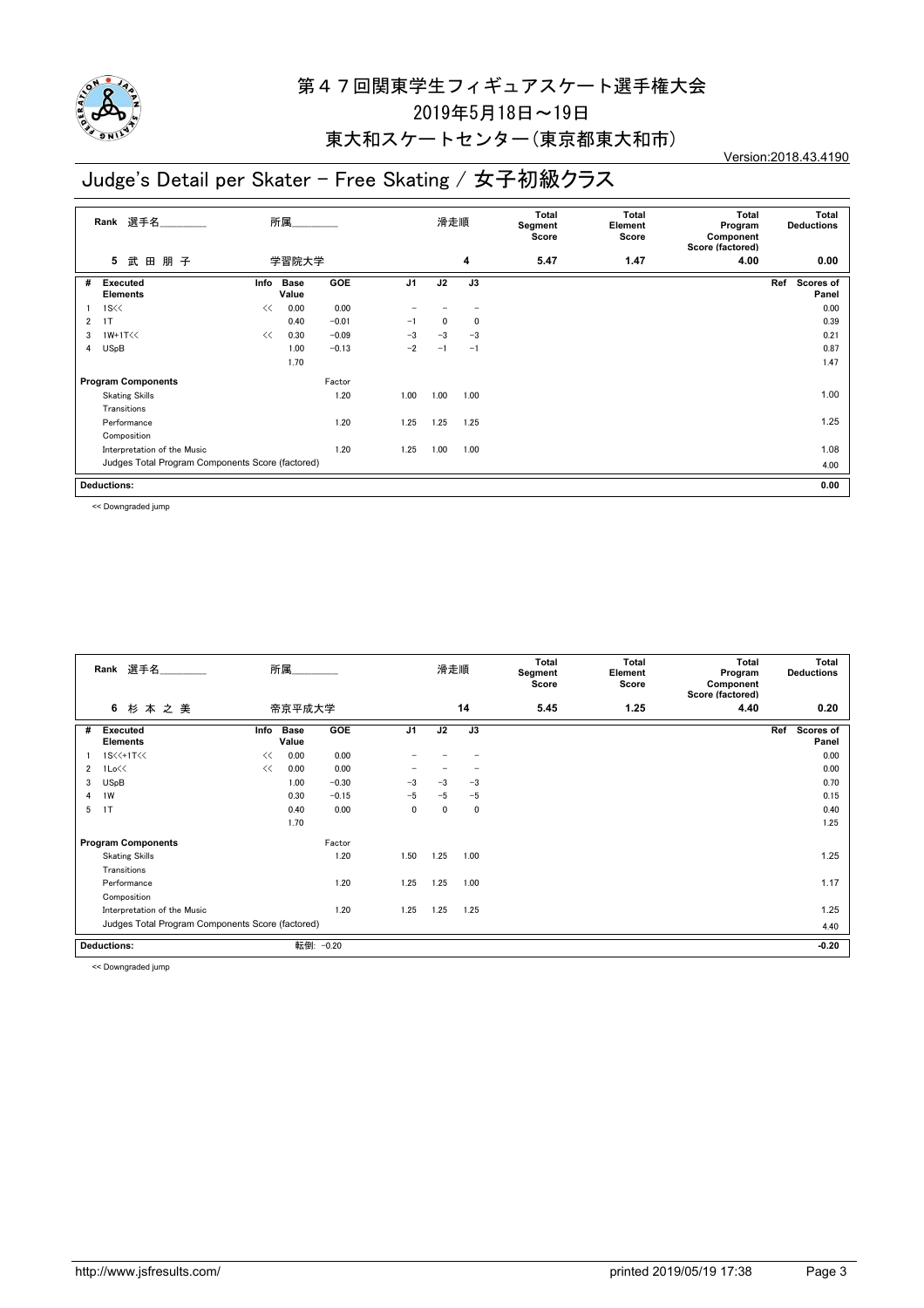

#### 東大和スケートセンター(東京都東大和市)

# Judge's Detail per Skater - Free Skating / 女子初級クラス

Version:2018.43.4190

|   | Rank 選手名                                         |      | 所属                   |            |                | 滑走順  |              | Total<br>Segment<br>Score | <b>Total</b><br>Element<br>Score | <b>Total</b><br>Program<br>Component<br>Score (factored) | Total<br><b>Deductions</b>       |
|---|--------------------------------------------------|------|----------------------|------------|----------------|------|--------------|---------------------------|----------------------------------|----------------------------------------------------------|----------------------------------|
|   | 朋子<br>5<br>武<br>田                                |      | 学習院大学                |            |                |      | 4            | 5.47                      | 1.47                             | 4.00                                                     | 0.00                             |
| # | Executed<br><b>Elements</b>                      | Info | <b>Base</b><br>Value | <b>GOE</b> | J <sub>1</sub> | J2   | J3           |                           |                                  |                                                          | <b>Scores of</b><br>Ref<br>Panel |
|   | $1S \ll $                                        | <<   | 0.00                 | 0.00       |                |      |              |                           |                                  |                                                          | 0.00                             |
| 2 | 1T                                               |      | 0.40                 | $-0.01$    | $-1$           | 0    | $\mathbf{0}$ |                           |                                  |                                                          | 0.39                             |
| 3 | $1W+1T<<$                                        | <<   | 0.30                 | $-0.09$    | $-3$           | $-3$ | $-3$         |                           |                                  |                                                          | 0.21                             |
| 4 | <b>USpB</b>                                      |      | 1.00                 | $-0.13$    | $-2$           | $-1$ | $-1$         |                           |                                  |                                                          | 0.87                             |
|   |                                                  |      | 1.70                 |            |                |      |              |                           |                                  |                                                          | 1.47                             |
|   | <b>Program Components</b>                        |      |                      | Factor     |                |      |              |                           |                                  |                                                          |                                  |
|   | <b>Skating Skills</b>                            |      |                      | 1.20       | 1.00           | 1.00 | 1.00         |                           |                                  |                                                          | 1.00                             |
|   | Transitions                                      |      |                      |            |                |      |              |                           |                                  |                                                          |                                  |
|   | Performance                                      |      |                      | 1.20       | 1.25           | 1.25 | 1.25         |                           |                                  |                                                          | 1.25                             |
|   | Composition                                      |      |                      |            |                |      |              |                           |                                  |                                                          |                                  |
|   | Interpretation of the Music                      |      |                      | 1.20       | 1.25           | 1.00 | 1.00         |                           |                                  |                                                          | 1.08                             |
|   | Judges Total Program Components Score (factored) |      |                      |            |                |      |              |                           |                                  |                                                          | 4.00                             |
|   | <b>Deductions:</b>                               |      |                      |            |                |      |              |                           |                                  |                                                          | 0.00                             |

<< Downgraded jump

|              | 選手名<br>Rank                                      |      | 所属                   |           |                | 滑走順  |      | Total<br>Segment<br>Score | <b>Total</b><br>Element<br>Score | Total<br>Program<br>Component<br>Score (factored) | Total<br><b>Deductions</b> |
|--------------|--------------------------------------------------|------|----------------------|-----------|----------------|------|------|---------------------------|----------------------------------|---------------------------------------------------|----------------------------|
|              | 6<br>杉本之美                                        |      | 帝京平成大学               |           |                |      | 14   | 5.45                      | 1.25                             | 4.40                                              | 0.20                       |
| #            | <b>Executed</b><br><b>Elements</b>               | Info | <b>Base</b><br>Value | GOE       | J <sub>1</sub> | J2   | J3   |                           |                                  |                                                   | Ref<br>Scores of<br>Panel  |
|              | 1S<<+1T<<                                        | <<   | 0.00                 | 0.00      |                |      |      |                           |                                  |                                                   | 0.00                       |
| $\mathbf{2}$ | 1Lo<<                                            | <<   | 0.00                 | 0.00      |                |      |      |                           |                                  |                                                   | 0.00                       |
| 3            | <b>USpB</b>                                      |      | 1.00                 | $-0.30$   | $-3$           | $-3$ | $-3$ |                           |                                  |                                                   | 0.70                       |
| 4            | 1W                                               |      | 0.30                 | $-0.15$   | $-5$           | $-5$ | $-5$ |                           |                                  |                                                   | 0.15                       |
| 5            | 1T                                               |      | 0.40                 | 0.00      | 0              | 0    | 0    |                           |                                  |                                                   | 0.40                       |
|              |                                                  |      | 1.70                 |           |                |      |      |                           |                                  |                                                   | 1.25                       |
|              | <b>Program Components</b>                        |      |                      | Factor    |                |      |      |                           |                                  |                                                   |                            |
|              | <b>Skating Skills</b>                            |      |                      | 1.20      | 1.50           | 1.25 | 1.00 |                           |                                  |                                                   | 1.25                       |
|              | Transitions                                      |      |                      |           |                |      |      |                           |                                  |                                                   |                            |
|              | Performance                                      |      |                      | 1.20      | 1.25           | 1.25 | 1.00 |                           |                                  |                                                   | 1.17                       |
|              | Composition                                      |      |                      |           |                |      |      |                           |                                  |                                                   |                            |
|              | Interpretation of the Music                      |      |                      | 1.20      | 1.25           | 1.25 | 1.25 |                           |                                  |                                                   | 1.25                       |
|              | Judges Total Program Components Score (factored) |      |                      |           |                |      |      |                           |                                  |                                                   | 4.40                       |
|              | <b>Deductions:</b>                               |      |                      | 転倒: -0.20 |                |      |      |                           |                                  |                                                   | $-0.20$                    |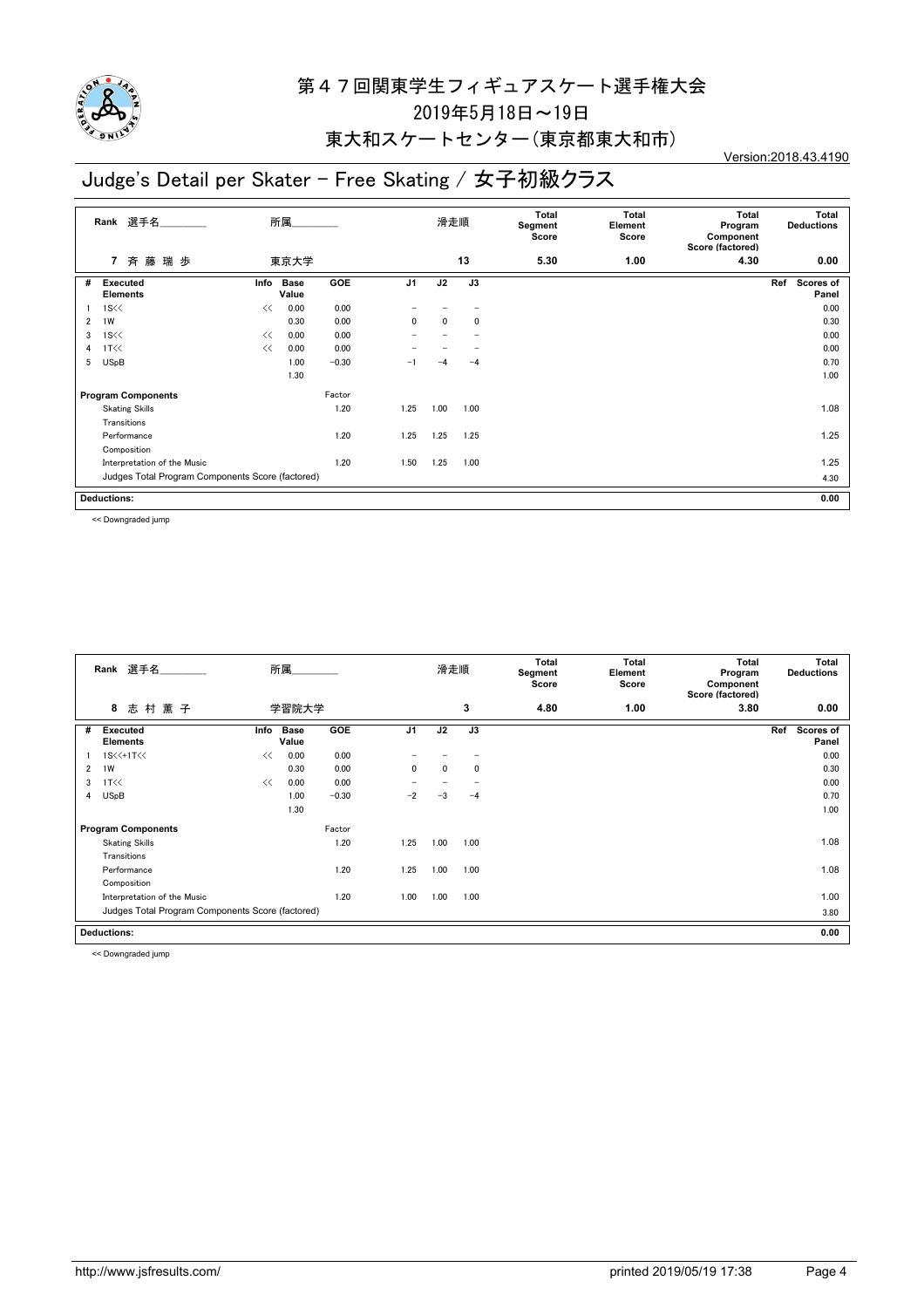

#### 東大和スケートセンター(東京都東大和市)

## Judge's Detail per Skater - Free Skating / 女子初級クラス

Version:2018.43.4190

|   | 選手名<br>Rank                                      |      | 所属                   |         |                | 滑走順  |      | Total<br>Segment<br>Score | Total<br>Element<br>Score | Total<br>Program<br>Component<br>Score (factored) | Total<br><b>Deductions</b> |
|---|--------------------------------------------------|------|----------------------|---------|----------------|------|------|---------------------------|---------------------------|---------------------------------------------------|----------------------------|
|   | 斉藤瑞歩<br>$\overline{7}$                           |      | 東京大学                 |         |                |      | 13   | 5.30                      | 1.00                      | 4.30                                              | 0.00                       |
| # | <b>Executed</b><br><b>Elements</b>               | Info | <b>Base</b><br>Value | GOE     | J <sub>1</sub> | J2   | J3   |                           |                           |                                                   | Ref<br>Scores of<br>Panel  |
|   | $1S \ll$                                         | <<   | 0.00                 | 0.00    |                |      |      |                           |                           |                                                   | 0.00                       |
| 2 | 1W                                               |      | 0.30                 | 0.00    | $\mathbf{0}$   | 0    | 0    |                           |                           |                                                   | 0.30                       |
| 3 | $1S \ll$                                         | <<   | 0.00                 | 0.00    |                |      |      |                           |                           |                                                   | 0.00                       |
| 4 | 1T<<                                             | <<   | 0.00                 | 0.00    |                |      |      |                           |                           |                                                   | 0.00                       |
| 5 | <b>USpB</b>                                      |      | 1.00                 | $-0.30$ | -1             | -4   | $-4$ |                           |                           |                                                   | 0.70                       |
|   |                                                  |      | 1.30                 |         |                |      |      |                           |                           |                                                   | 1.00                       |
|   | <b>Program Components</b>                        |      |                      | Factor  |                |      |      |                           |                           |                                                   |                            |
|   | <b>Skating Skills</b>                            |      |                      | 1.20    | 1.25           | 1.00 | 1.00 |                           |                           |                                                   | 1.08                       |
|   | Transitions                                      |      |                      |         |                |      |      |                           |                           |                                                   |                            |
|   | Performance                                      |      |                      | 1.20    | 1.25           | 1.25 | 1.25 |                           |                           |                                                   | 1.25                       |
|   | Composition                                      |      |                      |         |                |      |      |                           |                           |                                                   |                            |
|   | Interpretation of the Music                      |      |                      | 1.20    | 1.50           | 1.25 | 1.00 |                           |                           |                                                   | 1.25                       |
|   | Judges Total Program Components Score (factored) |      |                      |         |                |      |      |                           |                           |                                                   | 4.30                       |
|   | <b>Deductions:</b>                               |      |                      |         |                |      |      |                           |                           |                                                   | 0.00                       |

<< Downgraded jump

|   | 選手名<br>Rank                                      |      | 所属                   |            |                | 滑走順          |              | Total<br>Segment<br>Score | <b>Total</b><br>Element<br>Score | Total<br>Program<br>Component<br>Score (factored) | Total<br><b>Deductions</b> |
|---|--------------------------------------------------|------|----------------------|------------|----------------|--------------|--------------|---------------------------|----------------------------------|---------------------------------------------------|----------------------------|
|   | 8<br>志村薫子                                        |      | 学習院大学                |            |                |              | 3            | 4.80                      | 1.00                             | 3.80                                              | 0.00                       |
| # | <b>Executed</b><br><b>Elements</b>               | Info | <b>Base</b><br>Value | <b>GOE</b> | J <sub>1</sub> | J2           | J3           |                           |                                  |                                                   | Ref<br>Scores of<br>Panel  |
|   | 1S<<+1T<<                                        | <<   | 0.00                 | 0.00       |                |              |              |                           |                                  |                                                   | 0.00                       |
| 2 | 1W                                               |      | 0.30                 | 0.00       | $\mathbf{0}$   | $\mathbf{0}$ | $\mathbf{0}$ |                           |                                  |                                                   | 0.30                       |
| 3 | 1T <                                             | <<   | 0.00                 | 0.00       |                |              |              |                           |                                  |                                                   | 0.00                       |
| 4 | <b>USpB</b>                                      |      | 1.00                 | $-0.30$    | $-2$           | -3           | $-4$         |                           |                                  |                                                   | 0.70                       |
|   |                                                  |      | 1.30                 |            |                |              |              |                           |                                  |                                                   | 1.00                       |
|   | <b>Program Components</b>                        |      |                      | Factor     |                |              |              |                           |                                  |                                                   |                            |
|   | <b>Skating Skills</b>                            |      |                      | 1.20       | 1.25           | 1.00         | 1.00         |                           |                                  |                                                   | 1.08                       |
|   | Transitions                                      |      |                      |            |                |              |              |                           |                                  |                                                   |                            |
|   | Performance                                      |      |                      | 1.20       | 1.25           | 1.00         | 1.00         |                           |                                  |                                                   | 1.08                       |
|   | Composition                                      |      |                      |            |                |              |              |                           |                                  |                                                   |                            |
|   | Interpretation of the Music                      |      |                      | 1.20       | 1.00           | 1.00         | 1.00         |                           |                                  |                                                   | 1.00                       |
|   | Judges Total Program Components Score (factored) |      |                      |            |                |              |              |                           |                                  |                                                   | 3.80                       |
|   | <b>Deductions:</b>                               |      |                      |            |                |              |              |                           |                                  | 0.00                                              |                            |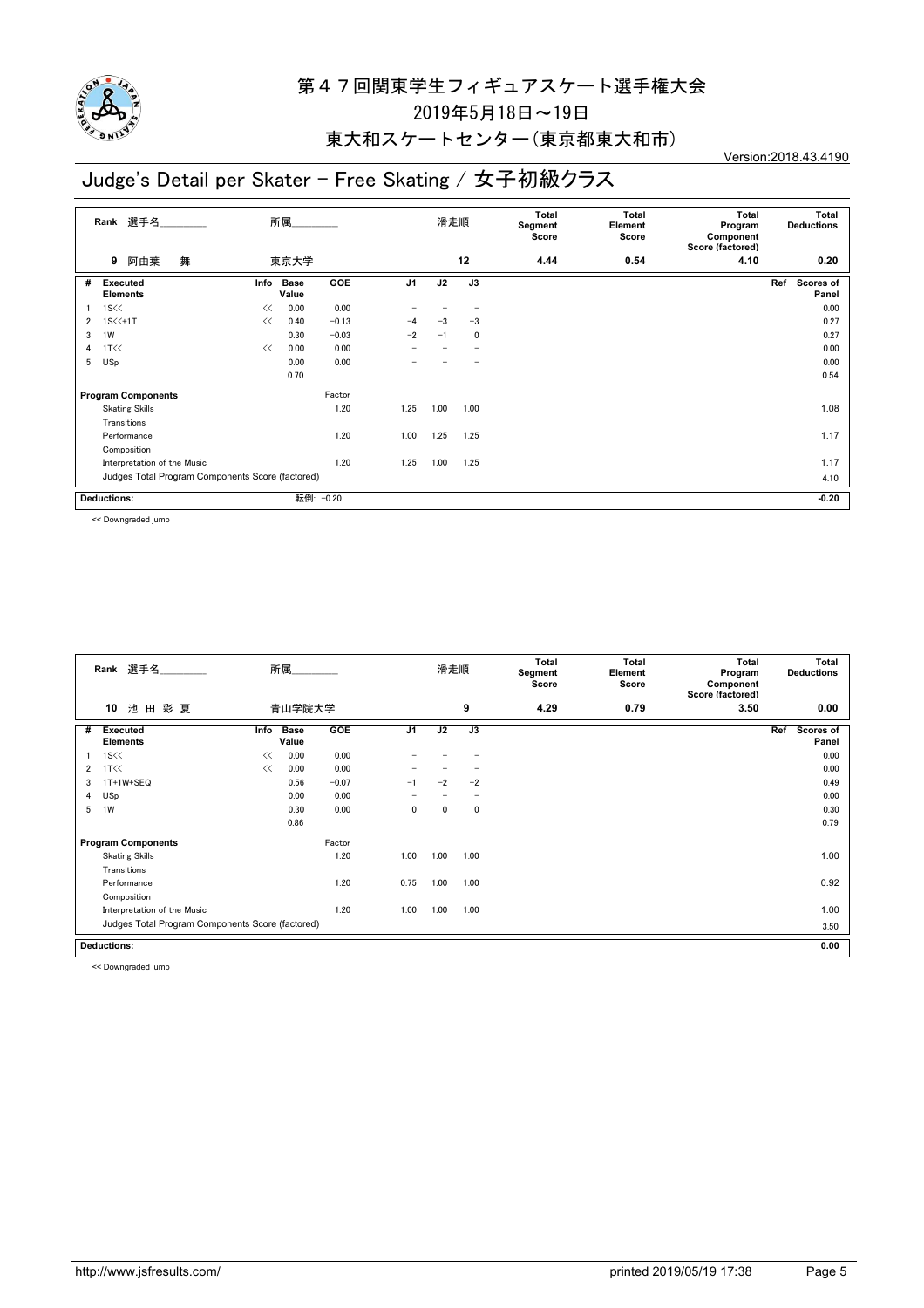

#### 東大和スケートセンター(東京都東大和市)

## Judge's Detail per Skater - Free Skating / 女子初級クラス

Version:2018.43.4190

|   | Rank 選手名                                         |      | 所属.                  |           |                |      | 滑走順  | Total<br>Segment<br>Score | Total<br>Element<br>Score | Total<br>Program<br>Component<br>Score (factored) | Total<br><b>Deductions</b> |
|---|--------------------------------------------------|------|----------------------|-----------|----------------|------|------|---------------------------|---------------------------|---------------------------------------------------|----------------------------|
|   | 舞<br>阿由葉<br>9                                    |      | 東京大学                 |           |                |      | 12   | 4.44                      | 0.54                      | 4.10                                              | 0.20                       |
| # | Executed<br><b>Elements</b>                      | Info | <b>Base</b><br>Value | GOE       | J <sub>1</sub> | J2   | J3   |                           |                           |                                                   | Ref<br>Scores of<br>Panel  |
|   | $1S \ll$                                         | <<   | 0.00                 | 0.00      |                |      |      |                           |                           |                                                   | 0.00                       |
| 2 | $1S \times 1T$                                   | <<   | 0.40                 | $-0.13$   | $-4$           | $-3$ | $-3$ |                           |                           |                                                   | 0.27                       |
| 3 | 1W                                               |      | 0.30                 | $-0.03$   | $-2$           | $-1$ | 0    |                           |                           |                                                   | 0.27                       |
| 4 | 1T <                                             | <<   | 0.00                 | 0.00      |                |      |      |                           |                           |                                                   | 0.00                       |
| 5 | <b>USp</b>                                       |      | 0.00                 | 0.00      |                |      |      |                           |                           |                                                   | 0.00                       |
|   |                                                  |      | 0.70                 |           |                |      |      |                           |                           |                                                   | 0.54                       |
|   | <b>Program Components</b>                        |      |                      | Factor    |                |      |      |                           |                           |                                                   |                            |
|   | <b>Skating Skills</b>                            |      |                      | 1.20      | 1.25           | 1.00 | 1.00 |                           |                           |                                                   | 1.08                       |
|   | Transitions                                      |      |                      |           |                |      |      |                           |                           |                                                   |                            |
|   | Performance                                      |      |                      | 1.20      | 1.00           | 1.25 | 1.25 |                           |                           |                                                   | 1.17                       |
|   | Composition                                      |      |                      |           |                |      |      |                           |                           |                                                   |                            |
|   | Interpretation of the Music                      |      |                      | 1.20      | 1.25           | 1.00 | 1.25 |                           |                           |                                                   | 1.17                       |
|   | Judges Total Program Components Score (factored) |      |                      |           |                |      |      |                           |                           |                                                   | 4.10                       |
|   | <b>Deductions:</b>                               |      |                      | 転倒: -0.20 |                |      |      |                           |                           |                                                   | $-0.20$                    |

<< Downgraded jump

|                | 選手名<br>Rank                                      |      | 所属                   |            |                | 滑走順  |                          | Total<br>Segment<br>Score | <b>Total</b><br>Element<br>Score | <b>Total</b><br>Program<br>Component<br>Score (factored) | Total<br><b>Deductions</b> |
|----------------|--------------------------------------------------|------|----------------------|------------|----------------|------|--------------------------|---------------------------|----------------------------------|----------------------------------------------------------|----------------------------|
|                | 池<br>10<br>田彩夏                                   |      | 青山学院大学               |            |                |      | 9                        | 4.29                      | 0.79                             | 3.50                                                     | 0.00                       |
| #              | <b>Executed</b><br><b>Elements</b>               | Info | <b>Base</b><br>Value | <b>GOE</b> | J <sub>1</sub> | J2   | J3                       |                           |                                  |                                                          | Ref<br>Scores of<br>Panel  |
|                | $1S \ll$                                         | <<   | 0.00                 | 0.00       |                |      |                          |                           |                                  |                                                          | 0.00                       |
| $\overline{2}$ | 1T<<                                             | <<   | 0.00                 | 0.00       |                |      |                          |                           |                                  |                                                          | 0.00                       |
| 3              | 1T+1W+SEQ                                        |      | 0.56                 | $-0.07$    | $-1$           | $-2$ | $-2$                     |                           |                                  |                                                          | 0.49                       |
| 4              | USp                                              |      | 0.00                 | 0.00       |                |      | $\overline{\phantom{a}}$ |                           |                                  |                                                          | 0.00                       |
| 5              | 1W                                               |      | 0.30                 | 0.00       | 0              | 0    | 0                        |                           |                                  |                                                          | 0.30                       |
|                |                                                  |      | 0.86                 |            |                |      |                          |                           |                                  |                                                          | 0.79                       |
|                | <b>Program Components</b>                        |      |                      | Factor     |                |      |                          |                           |                                  |                                                          |                            |
|                | <b>Skating Skills</b>                            |      |                      | 1.20       | 1.00           | 1.00 | 1.00                     |                           |                                  |                                                          | 1.00                       |
|                | Transitions                                      |      |                      |            |                |      |                          |                           |                                  |                                                          |                            |
|                | Performance                                      |      |                      | 1.20       | 0.75           | 1.00 | 1.00                     |                           |                                  |                                                          | 0.92                       |
|                | Composition                                      |      |                      |            |                |      |                          |                           |                                  |                                                          |                            |
|                | Interpretation of the Music                      |      |                      | 1.20       | 1.00           | 1.00 | 1.00                     |                           |                                  |                                                          | 1.00                       |
|                | Judges Total Program Components Score (factored) |      |                      |            |                |      |                          |                           |                                  |                                                          | 3.50                       |
|                | <b>Deductions:</b>                               |      |                      |            |                |      |                          |                           |                                  |                                                          | 0.00                       |